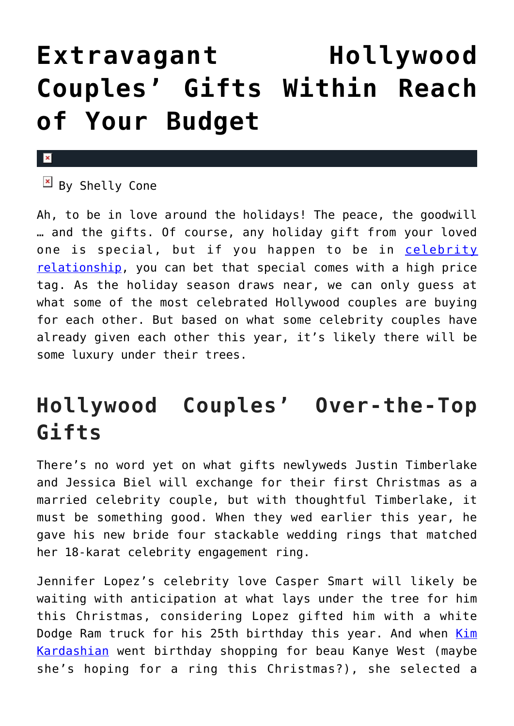## **[Extravagant Hollywood](https://cupidspulse.com/42441/extravagant-celebrity-gifts-budget/) [Couples' Gifts Within Reach](https://cupidspulse.com/42441/extravagant-celebrity-gifts-budget/) [of Your Budget](https://cupidspulse.com/42441/extravagant-celebrity-gifts-budget/)**

## $\mathbf{x}$

 $\boxed{\times}$  By Shelly Cone

Ah, to be in love around the holidays! The peace, the goodwill … and the gifts. Of course, any holiday gift from your loved one is special, but if you happen to be in [celebrity](http://cupidspulse.com/celebrity-relationships/dating-love/) [relationship,](http://cupidspulse.com/celebrity-relationships/dating-love/) you can bet that special comes with a high price tag. As the holiday season draws near, we can only guess at what some of the most celebrated Hollywood couples are buying for each other. But based on what some celebrity couples have already given each other this year, it's likely there will be some luxury under their trees.

## **Hollywood Couples' Over-the-Top Gifts**

There's no word yet on what gifts newlyweds Justin Timberlake and Jessica Biel will exchange for their first Christmas as a married celebrity couple, but with thoughtful Timberlake, it must be something good. When they wed earlier this year, he gave his new bride four stackable wedding rings that matched her 18-karat celebrity engagement ring.

Jennifer Lopez's celebrity love Casper Smart will likely be waiting with anticipation at what lays under the tree for him this Christmas, considering Lopez gifted him with a white Dodge Ram truck for his 25th birthday this year. And when [Kim](http://cupidspulse.com/86077/kim-kardashian/) [Kardashian](http://cupidspulse.com/86077/kim-kardashian/) went birthday shopping for beau Kanye West (maybe she's hoping for a ring this Christmas?), she selected a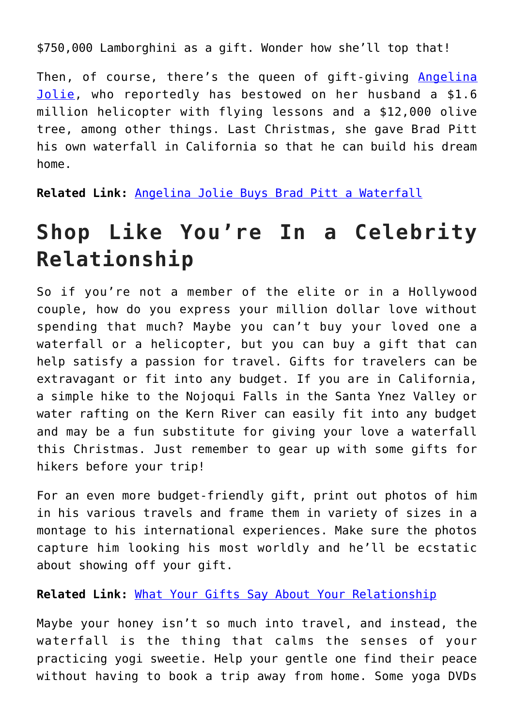\$750,000 Lamborghini as a gift. Wonder how she'll top that!

Then, of course, there's the queen of gift-giving [Angelina](http://cupidspulse.com/86085/angelina-jolie/) [Jolie,](http://cupidspulse.com/86085/angelina-jolie/) who reportedly has bestowed on her husband a \$1.6 million helicopter with flying lessons and a \$12,000 olive tree, among other things. Last Christmas, she gave Brad Pitt his own waterfall in California so that he can build his dream home.

**Related Link:** [Angelina Jolie Buys Brad Pitt a Waterfall](http://cupidspulse.com/angelina-jolie-buys-brad-pitt-waterfall-for-birthday-christmas/)

## **Shop Like You're In a Celebrity Relationship**

So if you're not a member of the elite or in a Hollywood couple, how do you express your million dollar love without spending that much? Maybe you can't buy your loved one a waterfall or a helicopter, but you can buy a gift that can help satisfy a passion for travel. Gifts for travelers can be extravagant or fit into any budget. If you are in California, a simple hike to the Nojoqui Falls in the Santa Ynez Valley or water rafting on the Kern River can easily fit into any budget and may be a fun substitute for giving your love a waterfall this Christmas. Just remember to gear up with some gifts for hikers before your trip!

For an even more budget-friendly gift, print out photos of him in his various travels and frame them in variety of sizes in a montage to his international experiences. Make sure the photos capture him looking his most worldly and he'll be ecstatic about showing off your gift.

**Related Link:** [What Your Gifts Say About Your Relationship](http://cupidspulse.com/holiday-presents-what-your-gifts-say-about-your-relationship/)

Maybe your honey isn't so much into travel, and instead, the waterfall is the thing that calms the senses of your practicing yogi sweetie. Help your gentle one find their peace without having to book a trip away from home. Some yoga DVDs